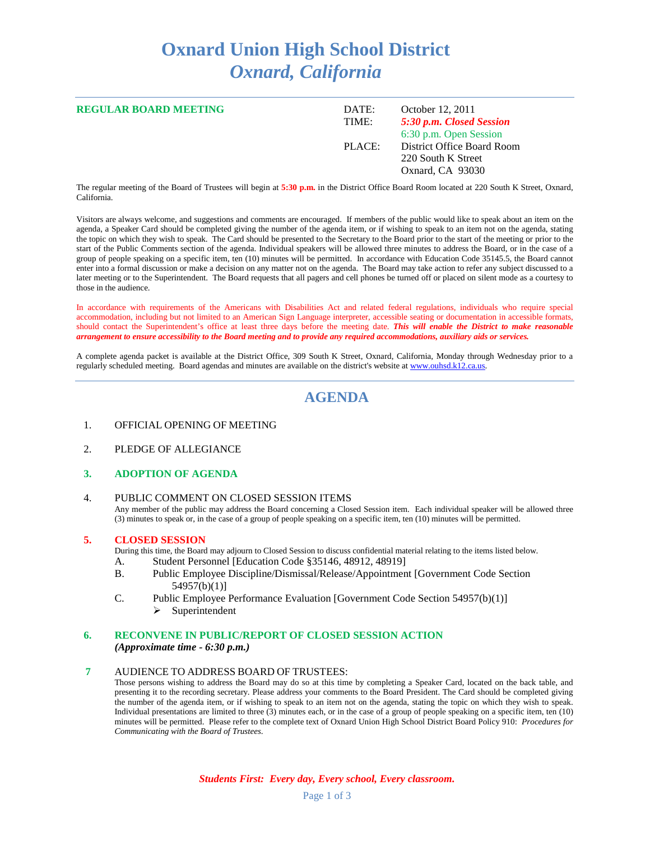# **Oxnard Union High School District** *Oxnard, California*

| <b>REGULAR BOARD MEETING</b> | DATE:<br>TIME: | October 12, 2011<br>5:30 p.m. Closed Session<br>6:30 p.m. Open Session |
|------------------------------|----------------|------------------------------------------------------------------------|
|                              | PLACE:         | District Office Board Room<br>220 South K Street<br>Oxnard, CA 93030   |

The regular meeting of the Board of Trustees will begin at **5:30 p.m.** in the District Office Board Room located at 220 South K Street, Oxnard, California.

Visitors are always welcome, and suggestions and comments are encouraged. If members of the public would like to speak about an item on the agenda, a Speaker Card should be completed giving the number of the agenda item, or if wishing to speak to an item not on the agenda, stating the topic on which they wish to speak. The Card should be presented to the Secretary to the Board prior to the start of the meeting or prior to the start of the Public Comments section of the agenda. Individual speakers will be allowed three minutes to address the Board, or in the case of a group of people speaking on a specific item, ten (10) minutes will be permitted. In accordance with Education Code 35145.5, the Board cannot enter into a formal discussion or make a decision on any matter not on the agenda. The Board may take action to refer any subject discussed to a later meeting or to the Superintendent. The Board requests that all pagers and cell phones be turned off or placed on silent mode as a courtesy to those in the audience.

In accordance with requirements of the Americans with Disabilities Act and related federal regulations, individuals who require special accommodation, including but not limited to an American Sign Language interpreter, accessible seating or documentation in accessible formats, should contact the Superintendent's office at least three days before the meeting date. *This will enable the District to make reasonable arrangement to ensure accessibility to the Board meeting and to provide any required accommodations, auxiliary aids or services.*

A complete agenda packet is available at the District Office, 309 South K Street, Oxnard, California, Monday through Wednesday prior to a regularly scheduled meeting. Board agendas and minutes are available on the district's website a[t www.ouhsd.k12.ca.us.](http://www.ouhsd.k12.ca.us/)

# **AGENDA**

- 1. OFFICIAL OPENING OF MEETING
- 2. PLEDGE OF ALLEGIANCE

#### **3. ADOPTION OF AGENDA**

4. PUBLIC COMMENT ON CLOSED SESSION ITEMS Any member of the public may address the Board concerning a Closed Session item. Each individual speaker will be allowed three (3) minutes to speak or, in the case of a group of people speaking on a specific item, ten (10) minutes will be permitted.

#### **5. CLOSED SESSION**

During this time, the Board may adjourn to Closed Session to discuss confidential material relating to the items listed below.

- A. Student Personnel [Education Code §35146, 48912, 48919]
- B. Public Employee Discipline/Dismissal/Release/Appointment [Government Code Section 54957(b)(1)]
- C. Public Employee Performance Evaluation [Government Code Section 54957(b)(1)]  $\triangleright$  Superintendent

#### **6. RECONVENE IN PUBLIC/REPORT OF CLOSED SESSION ACTION**

*(Approximate time - 6:30 p.m.)*

#### **7** AUDIENCE TO ADDRESS BOARD OF TRUSTEES:

Those persons wishing to address the Board may do so at this time by completing a Speaker Card, located on the back table, and presenting it to the recording secretary. Please address your comments to the Board President. The Card should be completed giving the number of the agenda item, or if wishing to speak to an item not on the agenda, stating the topic on which they wish to speak. Individual presentations are limited to three (3) minutes each, or in the case of a group of people speaking on a specific item, ten (10) minutes will be permitted. Please refer to the complete text of Oxnard Union High School District Board Policy 910: *Procedures for Communicating with the Board of Trustees*.

*Students First: Every day, Every school, Every classroom.*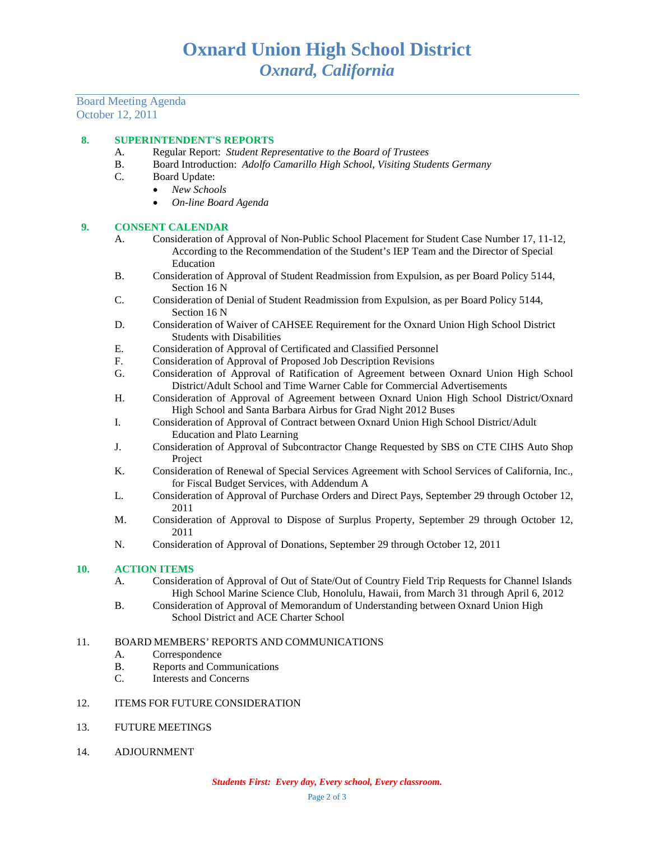Board Meeting Agenda October 12, 2011

## **8. SUPERINTENDENT'S REPORTS**

- A. Regular Report: *Student Representative to the Board of Trustees*
- B. Board Introduction: *Adolfo Camarillo High School, Visiting Students Germany*
- C. Board Update:
	- *New Schools*
		- *On-line Board Agenda*

## **9. CONSENT CALENDAR**

- A. Consideration of Approval of Non-Public School Placement for Student Case Number 17, 11-12, According to the Recommendation of the Student's IEP Team and the Director of Special Education
- B. Consideration of Approval of Student Readmission from Expulsion, as per Board Policy 5144, Section 16 N
- C. Consideration of Denial of Student Readmission from Expulsion, as per Board Policy 5144, Section 16 N
- D. Consideration of Waiver of CAHSEE Requirement for the Oxnard Union High School District Students with Disabilities
- E. Consideration of Approval of Certificated and Classified Personnel
- F. Consideration of Approval of Proposed Job Description Revisions<br>G. Consideration of Approval of Ratification of Agreement between
- G. Consideration of Approval of Ratification of Agreement between Oxnard Union High School District/Adult School and Time Warner Cable for Commercial Advertisements
- H. Consideration of Approval of Agreement between Oxnard Union High School District/Oxnard High School and Santa Barbara Airbus for Grad Night 2012 Buses
- I. Consideration of Approval of Contract between Oxnard Union High School District/Adult Education and Plato Learning
- J. Consideration of Approval of Subcontractor Change Requested by SBS on CTE CIHS Auto Shop Project
- K. Consideration of Renewal of Special Services Agreement with School Services of California, Inc., for Fiscal Budget Services, with Addendum A
- L. Consideration of Approval of Purchase Orders and Direct Pays, September 29 through October 12, 2011
- M. Consideration of Approval to Dispose of Surplus Property, September 29 through October 12, 2011
- N. Consideration of Approval of Donations, September 29 through October 12, 2011

## **10. ACTION ITEMS**

- A. Consideration of Approval of Out of State/Out of Country Field Trip Requests for Channel Islands High School Marine Science Club, Honolulu, Hawaii, from March 31 through April 6, 2012
- B. Consideration of Approval of Memorandum of Understanding between Oxnard Union High School District and ACE Charter School

# 11. BOARD MEMBERS' REPORTS AND COMMUNICATIONS

- A. Correspondence
- B. Reports and Communications
- C. Interests and Concerns

## 12. ITEMS FOR FUTURE CONSIDERATION

- 13. FUTURE MEETINGS
- 14. ADJOURNMENT